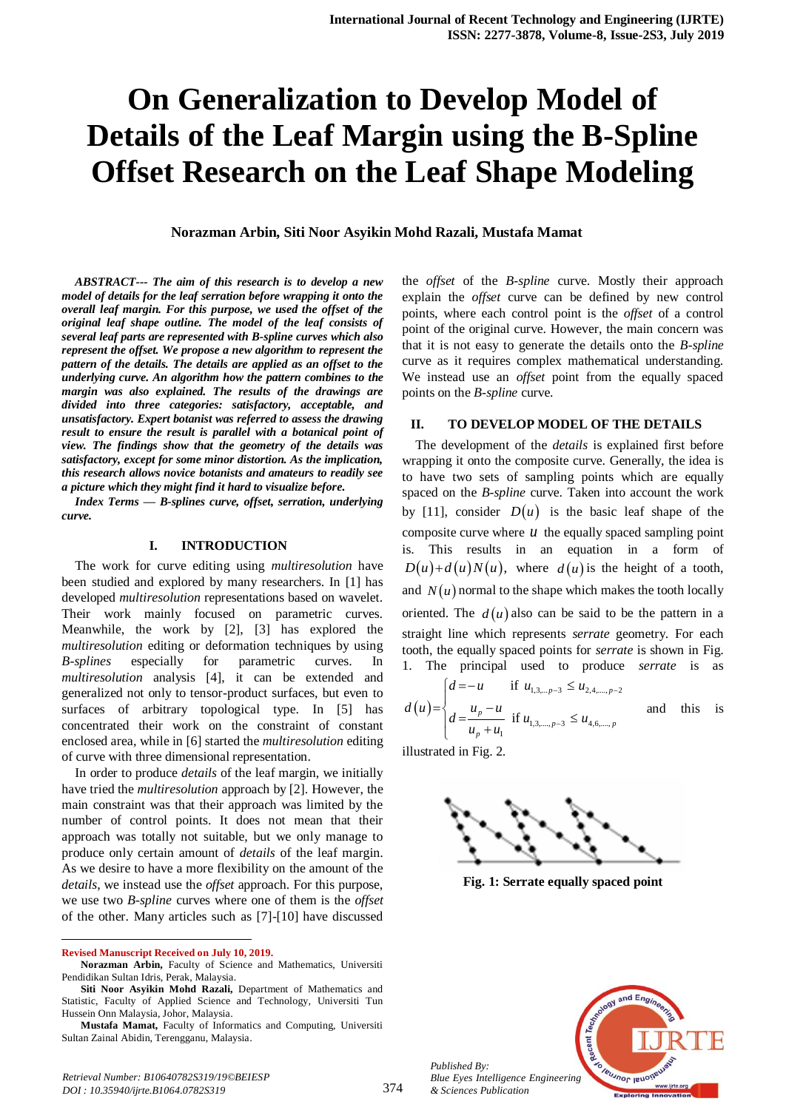# **On Generalization to Develop Model of Details of the Leaf Margin using the B-Spline Offset Research on the Leaf Shape Modeling**

**Norazman Arbin, Siti Noor Asyikin Mohd Razali, Mustafa Mamat** 

*ABSTRACT--- The aim of this research is to develop a new model of details for the leaf serration before wrapping it onto the overall leaf margin. For this purpose, we used the offset of the original leaf shape outline. The model of the leaf consists of several leaf parts are represented with B-spline curves which also represent the offset. We propose a new algorithm to represent the pattern of the details. The details are applied as an offset to the underlying curve. An algorithm how the pattern combines to the margin was also explained. The results of the drawings are divided into three categories: satisfactory, acceptable, and unsatisfactory. Expert botanist was referred to assess the drawing result to ensure the result is parallel with a botanical point of view. The findings show that the geometry of the details was satisfactory, except for some minor distortion. As the implication, this research allows novice botanists and amateurs to readily see a picture which they might find it hard to visualize before.*

*Index Terms — B-splines curve, offset, serration, underlying curve.*

### **I. INTRODUCTION**

The work for curve editing using *multiresolution* have been studied and explored by many researchers. In [1] has developed *multiresolution* representations based on wavelet. Their work mainly focused on parametric curves. Meanwhile, the work by [2], [3] has explored the *multiresolution* editing or deformation techniques by using *B-splines* especially for parametric curves. In *multiresolution* analysis [4], it can be extended and generalized not only to tensor-product surfaces, but even to surfaces of arbitrary topological type. In [5] has concentrated their work on the constraint of constant enclosed area, while in [6] started the *multiresolution* editing of curve with three dimensional representation.

In order to produce *details* of the leaf margin, we initially have tried the *multiresolution* approach by [2]. However, the main constraint was that their approach was limited by the number of control points. It does not mean that their approach was totally not suitable, but we only manage to produce only certain amount of *details* of the leaf margin. As we desire to have a more flexibility on the amount of the *details*, we instead use the *offset* approach. For this purpose, we use two *B-spline* curves where one of them is the *offset* of the other. Many articles such as [7]-[10] have discussed

**Revised Manuscript Received on July 10, 2019.**

 $\overline{a}$ 

the *offset* of the *B-spline* curve. Mostly their approach explain the *offset* curve can be defined by new control points, where each control point is the *offset* of a control point of the original curve. However, the main concern was that it is not easy to generate the details onto the *B-spline* curve as it requires complex mathematical understanding. We instead use an *offset* point from the equally spaced points on the *B-spline* curve.

# **II. TO DEVELOP MODEL OF THE DETAILS**

The development of the *details* is explained first before wrapping it onto the composite curve. Generally, the idea is to have two sets of sampling points which are equally spaced on the *B-spline* curve. Taken into account the work by [11], consider  $D(u)$  is the basic leaf shape of the composite curve where  $u$  the equally spaced sampling point is. This results in an equation in a form of  $D(u)+d(u)N(u)$ , where  $d(u)$  is the height of a tooth, and  $N(u)$  normal to the shape which makes the tooth locally oriented. The  $d(u)$  also can be said to be the pattern in a straight line which represents *serrate* geometry. For each tooth, the equally spaced points for *serrate* is shown in Fig.

1. The principal used to produce *serrate* is as\n
$$
d(u) =\begin{cases} d = -u & \text{if } u_{1,3,\dots,p-3} \le u_{2,4,\dots,p-2} \\ d = \frac{u_p - u}{u_p + u_1} & \text{if } u_{1,3,\dots,p-3} \le u_{4,6,\dots,p} \end{cases} \text{ and this is}
$$

illustrated in Fig. 2.



**Fig. 1: Serrate equally spaced point**



*Published By: Blue Eyes Intelligence Engineering & Sciences Publication* 

**Norazman Arbin,** Faculty of Science and Mathematics, Universiti Pendidikan Sultan Idris, Perak, Malaysia.

**Siti Noor Asyikin Mohd Razali,** Department of Mathematics and Statistic, Faculty of Applied Science and Technology, Universiti Tun Hussein Onn Malaysia, Johor, Malaysia.

**Mustafa Mamat,** Faculty of Informatics and Computing, Universiti Sultan Zainal Abidin, Terengganu, Malaysia.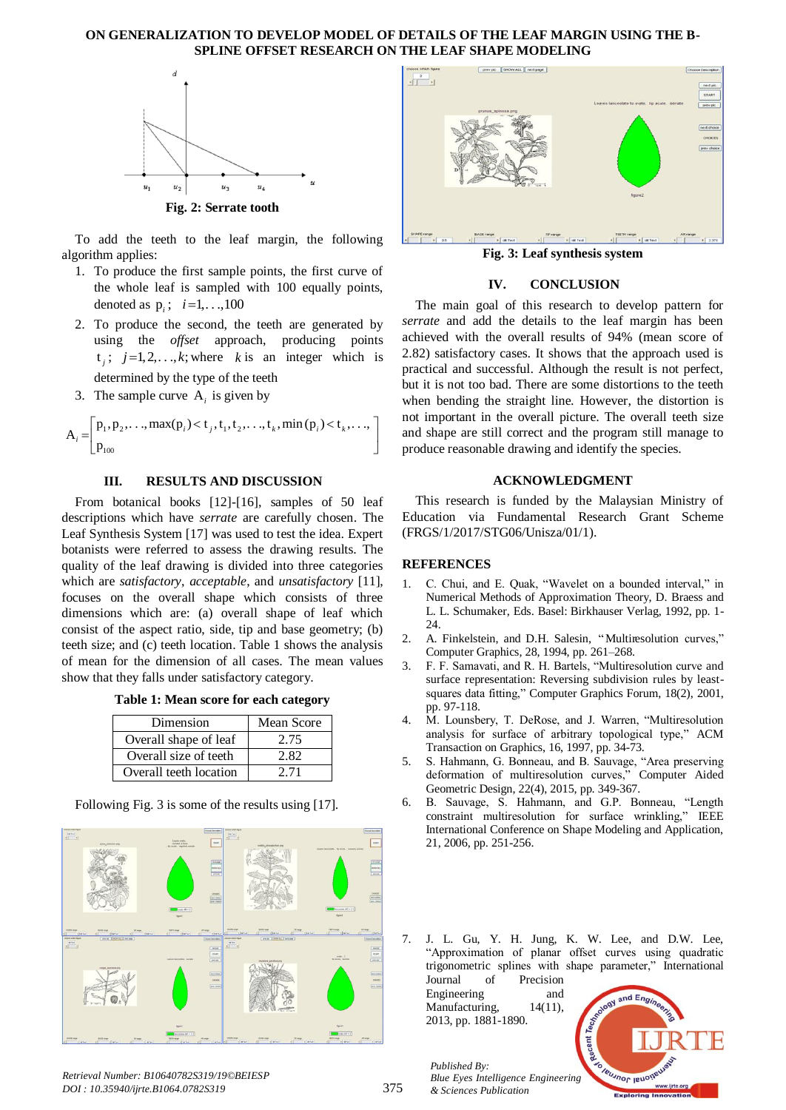# **ON GENERALIZATION TO DEVELOP MODEL OF DETAILS OF THE LEAF MARGIN USING THE B-SPLINE OFFSET RESEARCH ON THE LEAF SHAPE MODELING**



To add the teeth to the leaf margin, the following algorithm applies:

- 1. To produce the first sample points, the first curve of the whole leaf is sampled with 100 equally points, denoted as  $p_i$ ;  $i=1,...,100$
- 2. To produce the second, the teeth are generated by using the *offset* approach, producing points  $t_j$ ;  $j=1,2,...,k$ ; where k is an integer which is determined by the type of the teeth
- 

3. The sample curve A<sub>i</sub> is given by  
\n
$$
A_i = \begin{bmatrix} p_1, p_2, \dots, \max(p_i) < t_j, t_1, t_2, \dots, t_k, \min(p_i) < t_k, \dots, \\ p_{100} & \text{if } p_{11} \text{ and } p_{12} \text{ and } p_{13} \text{ are } t_1, t_2, \dots, t_k \text{ and } p_{14} \text{ are } t_1, t_2, \dots, t_k \text{ and } p_{15} \text{ are } t_1, t_2, \dots, t_k \text{ and } p_{16} \text{ are } t_1, t_2, \dots, t_k \text{ and } p_{17} \text{ are } t_1, t_2, \dots, t_k \text{ and } p_{18} \text{ are } t_1, t_2, \dots, t_k \text{ and } p_{19} \text{ are } t_1, t_2, \dots, t_k \text{ are } t_1, t_2, \dots, t_k \text{ and } p_{10} \text{ are } t_1, t_2, \dots, t_k \text{ are } t_1, t_2, \dots, t_k \text{ are } t_1, t_2, \dots, t_k \text{ are } t_1, t_2, \dots, t_k \text{ are } t_1, t_2, \dots, t_k \text{ are } t_1, t_2, \dots, t_k \text{ are } t_1, t_2, \dots, t_k \text{ are } t_1, t_2, \dots, t_k \text{ are } t_1, t_2, \dots, t_k \text{ are } t_1, t_2, \dots, t_k \text{ are } t_1, t_2, \dots, t_k \text{ are } t_1, t_2, \dots, t_k \text{ are } t_1, t_2, \dots, t_k \text{ are } t_1, t_2, \dots, t_k \text{ are } t_1, t_2, \dots, t_k \text{ are } t_1, t_2, \dots, t_k \text{ are } t_1, t_2, \dots, t_k \text{ are } t_1, t_2, \dots, t_k \text{ are } t_1, t_2, \dots, t_k \text{ are } t_1, t_2, \dots, t_k \text{ are } t_1, t_2, \dots, t_k \text{ are } t_1, t_2, \dots, t_k \text{ are } t_1, t_2, \dots, t_k \text{ are } t_1, t_2, \
$$

# **III. RESULTS AND DISCUSSION**

From botanical books [12]-[16], samples of 50 leaf descriptions which have *serrate* are carefully chosen. The Leaf Synthesis System [17] was used to test the idea. Expert botanists were referred to assess the drawing results. The quality of the leaf drawing is divided into three categories which are *satisfactory*, *acceptable*, and *unsatisfactory* [11], focuses on the overall shape which consists of three dimensions which are: (a) overall shape of leaf which consist of the aspect ratio, side, tip and base geometry; (b) teeth size; and (c) teeth location. Table 1 shows the analysis of mean for the dimension of all cases. The mean values show that they falls under satisfactory category.

| Dimension              | Mean Score |
|------------------------|------------|
| Overall shape of leaf  | 2.75       |
| Overall size of teeth  | 2.82       |
| Overall teeth location | 2.71       |

Following Fig. 3 is some of the results using [17].







**Fig. 3: Leaf synthesis system**

# **IV. CONCLUSION**

The main goal of this research to develop pattern for *serrate* and add the details to the leaf margin has been achieved with the overall results of 94% (mean score of 2.82) satisfactory cases. It shows that the approach used is practical and successful. Although the result is not perfect, but it is not too bad. There are some distortions to the teeth when bending the straight line. However, the distortion is not important in the overall picture. The overall teeth size and shape are still correct and the program still manage to produce reasonable drawing and identify the species.

#### **ACKNOWLEDGMENT**

This research is funded by the Malaysian Ministry of Education via Fundamental Research Grant Scheme (FRGS/1/2017/STG06/Unisza/01/1).

## **REFERENCES**

- 1. C. Chui, and E. Quak, "Wavelet on a bounded interval," in Numerical Methods of Approximation Theory, D. Braess and L. L. Schumaker, Eds. Basel: Birkhauser Verlag, 1992, pp. 1- 24.
- 2. A. Finkelstein, and D.H. Salesin, "Multiresolution curves," Computer Graphics, 28, 1994, pp. 261–268.
- 3. F. F. Samavati, and R. H. Bartels, "Multiresolution curve and surface representation: Reversing subdivision rules by leastsquares data fitting," Computer Graphics Forum, 18(2), 2001, pp. 97-118.
- 4. M. Lounsbery, T. DeRose, and J. Warren, "Multiresolution analysis for surface of arbitrary topological type," ACM Transaction on Graphics, 16, 1997, pp. 34-73.
- 5. S. Hahmann, G. Bonneau, and B. Sauvage, "Area preserving deformation of multiresolution curves," Computer Aided Geometric Design, 22(4), 2015, pp. 349-367.
- 6. B. Sauvage, S. Hahmann, and G.P. Bonneau, "Length constraint multiresolution for surface wrinkling," IEEE International Conference on Shape Modeling and Application, 21, 2006, pp. 251-256.
- 7. J. L. Gu, Y. H. Jung, K. W. Lee, and D.W. Lee, "Approximation of planar offset curves using quadratic trigonometric splines with shape parameter," International

375

Journal of Precision Engineering and Manufacturing, 14(11), 2013, pp. 1881-1890.



*Published By: Blue Eyes Intelligence Engineering & Sciences Publication*